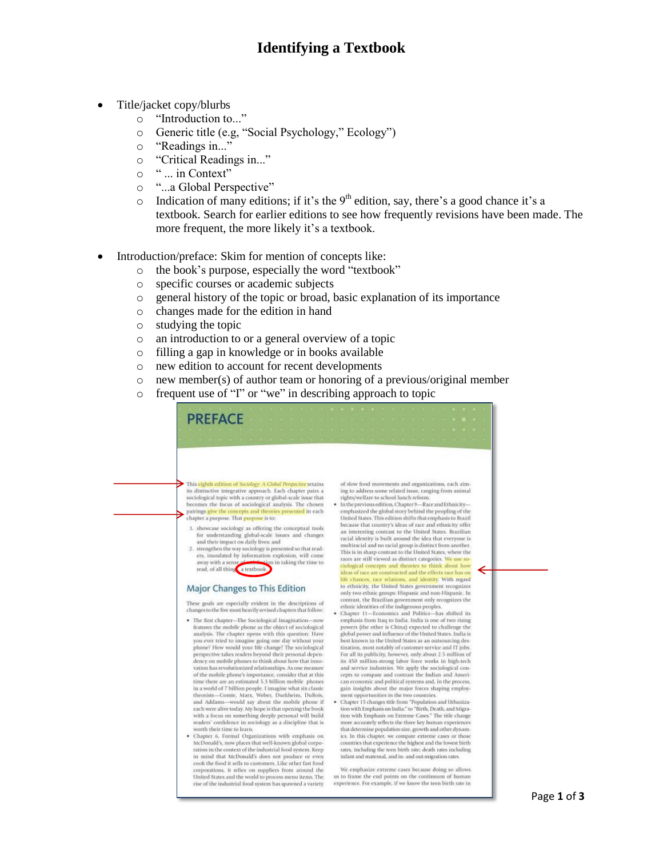## **Identifying a Textbook**

- Title/jacket copy/blurbs
	- o "Introduction to..."
	- o Generic title (e.g, "Social Psychology," Ecology")
	- o "Readings in..."
	- o "Critical Readings in..."
	- o " ... in Context"
	- o "...a Global Perspective"
	- o Indication of many editions; if it's the 9<sup>th</sup> edition, say, there's a good chance it's a textbook. Search for earlier editions to see how frequently revisions have been made. The more frequent, the more likely it's a textbook.
- Introduction/preface: Skim for mention of concepts like:
	- o the book's purpose, especially the word "textbook"
	- o specific courses or academic subjects
	- o general history of the topic or broad, basic explanation of its importance
	- o changes made for the edition in hand
	- o studying the topic
	- o an introduction to or a general overview of a topic
	- o filling a gap in knowledge or in books available
	- o new edition to account for recent developments
	- o new member(s) of author team or honoring of a previous/original member
	- o frequent use of "I" or "we" in describing approach to topic

| This eighth edition of Sociology: A Global Perspective retains<br>its distinctive integrative approach. Each chapter pairs a<br>sociological topic with a country or global-scale issue that<br>rights/welfare to school lunch reform.<br>becomes the focus of sociological analysis. The chosen<br>· In the previous edition, Chapter 9-Race and Ethnicity-<br>pairings give the concepts and theories presented in each<br>chapter a purpose. That purpose is to:<br>1. showcase sociology as offering the conceptual tools<br>for understanding global-scale issues and changes<br>and their impact on daily lives: and<br>2. strengthen the way sociology is presented so that read-<br>ers, inundated by information explosion, will come<br>away with a sense of which alon in taking the time to<br>read, of all thing a textbook. | ethnic identities of the indigenous peoples.                                                                                                                                                                                    | Major Changes to This Edition<br>These goals are especially evident in the descriptions of<br>changes to the five most heavily revised chapters that follow:<br>· The first chapter-The Sociological Imagination-now<br>features the mobile phone as the object of sociological<br>analysis. The chapter opens with this question: Have<br>best known in the United States as an outsourcing des-<br>you ever tried to imagine going one day without your<br>phone? How would your life change? The sociological<br>tination, most notably of customer service and IT jobs.<br>perspective takes readers beyond their personal depen-<br>dency on mobile phones to think about how that inno-<br>vation has revolutionized relationships. As one measure<br>of the mobile phone's importance, consider that at this<br>time there are an estimated 5.3 billion mobile phones<br>in a world of 7 billion people. I imagine what six classic<br>theorists-Comte, Marx, Weber, Durkheim, DuBois,<br>ment opportunities in the two countries.<br>and Addams--would say about the mobile phone if |                                                                                                                                                                                                                                                                                                                                                                                                                                                                                                                                                                                                                                                                                                                                          |
|-------------------------------------------------------------------------------------------------------------------------------------------------------------------------------------------------------------------------------------------------------------------------------------------------------------------------------------------------------------------------------------------------------------------------------------------------------------------------------------------------------------------------------------------------------------------------------------------------------------------------------------------------------------------------------------------------------------------------------------------------------------------------------------------------------------------------------------------|---------------------------------------------------------------------------------------------------------------------------------------------------------------------------------------------------------------------------------|----------------------------------------------------------------------------------------------------------------------------------------------------------------------------------------------------------------------------------------------------------------------------------------------------------------------------------------------------------------------------------------------------------------------------------------------------------------------------------------------------------------------------------------------------------------------------------------------------------------------------------------------------------------------------------------------------------------------------------------------------------------------------------------------------------------------------------------------------------------------------------------------------------------------------------------------------------------------------------------------------------------------------------------------------------------------------------------------|------------------------------------------------------------------------------------------------------------------------------------------------------------------------------------------------------------------------------------------------------------------------------------------------------------------------------------------------------------------------------------------------------------------------------------------------------------------------------------------------------------------------------------------------------------------------------------------------------------------------------------------------------------------------------------------------------------------------------------------|
| of slow food movements and organizations, each aim-                                                                                                                                                                                                                                                                                                                                                                                                                                                                                                                                                                                                                                                                                                                                                                                       |                                                                                                                                                                                                                                 | and service industries. We apply the sociological con-<br>cepts to compare and contrast the Indian and Ameri-<br>gain insights about the major forces shaping employ-<br>• Chapter 15 changes title from "Population and Urbaniza-                                                                                                                                                                                                                                                                                                                                                                                                                                                                                                                                                                                                                                                                                                                                                                                                                                                           |                                                                                                                                                                                                                                                                                                                                                                                                                                                                                                                                                                                                                                                                                                                                          |
|                                                                                                                                                                                                                                                                                                                                                                                                                                                                                                                                                                                                                                                                                                                                                                                                                                           | to ethnicity, the United States government recognizes<br>only two ethnic groups: Hispanic and non-Hispanic. In<br>contrast, the Brazilian government only recognizes the<br>· Chapter 11-Economics and Politics-has shifted its | emphasis from Iraq to India. India is one of two rising<br>powers (the other is China) expected to challenge the<br>global power and influence of the United States. India is<br>For all its publicity, however, only about 2.5 million of<br>its 450 million-strong labor force works in high-tech<br>can economic and political systems and, in the process,                                                                                                                                                                                                                                                                                                                                                                                                                                                                                                                                                                                                                                                                                                                               | ing to address some related issue, ranging from animal<br>emphasized the global story behind the peopling of the<br>United States. This edition shifts that emphasis to Brazil<br>because that country's ideas of race and ethnicity offer<br>an interesting contrast to the United States. Brazilian<br>racial identity is built around the idea that everyone is<br>multiracial and no racial group is distinct from another.<br>This is in sharp contrast to the United States, where the<br>races are still viewed as distinct categories. We use so-<br>ciological concepts and theories to think about how<br>ideas of race are constructed and the effects race has on<br>life chances, race relations, and identity. With regard |

ration in the context of the industrial food system. Keep in mind that McDonald's does not produce or even<br>cook the food it sells to customers. Like other fast food corporations, it relies on suppliers from around the United States and the world to process menu items. The rise of the industrial food system has spawned a variety

We emphasize extreme cases because doing so allows us to frame the end points on the continuum of human<br>experience. For example, if we know the teen birth rate in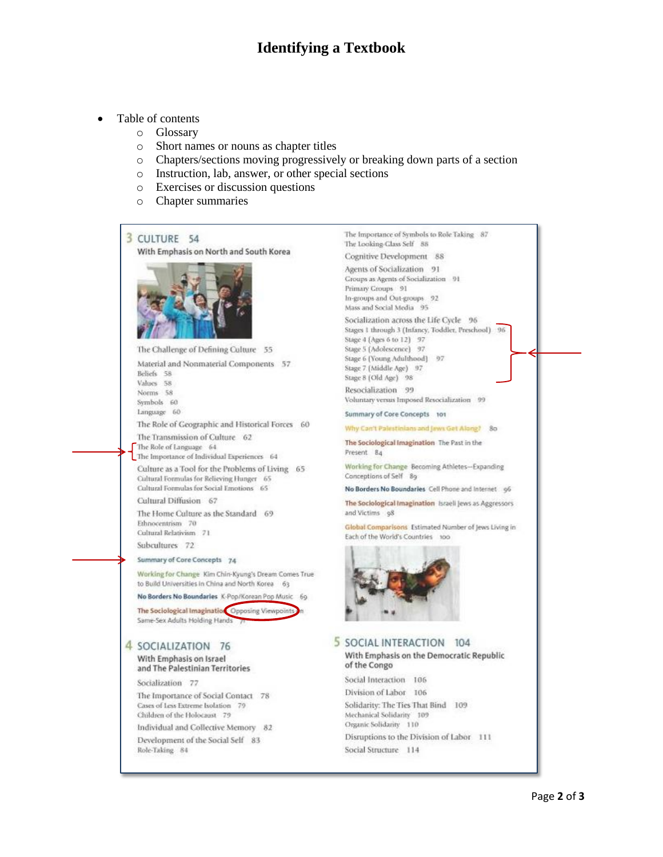# **Identifying a Textbook**

- Table of contents
	- o Glossary
	- o Short names or nouns as chapter titles
	- o Chapters/sections moving progressively or breaking down parts of a section
	- o Instruction, lab, answer, or other special sections
	- o Exercises or discussion questions
	- o Chapter summaries



Working for Change Kim Chin-Kyung's Dream Comes True to Build Universities in China and North Korea 63

No Borders No Boundaries K-Pop/Korean Pop Music 69

The Sociological Imagination Opposing Viewpoint Same-Sex Adults Holding Hands

### 4 SOCIALIZATION 76

#### With Emphasis on Israel and The Palestinian Territories

Socialization 77

The Importance of Social Contact 78 Cases of Less Extreme Isolation 79 Children of the Holocaust 79

Individual and Collective Memory 82 Development of the Social Self 83 Role-Taking 84

The Importance of Symbols to Role Taking 87 The Looking-Class Self 88 Cognitive Development 88 Agents of Socialization 91 Croups as Agents of Socialization 91 Primary Groups 91 In-groups and Out-groups 92 Mass and Social Media 95 Socialization across the Life Cycle 96 Stages 1 through 3 (Infancy, Toddlet, Preschool) 96 Stage 4 (Ages 6 to 12) 97 Stage 5 (Adolescence) 97 Stage 6 (Young Adulthood) 97 Stage 7 (Middle Age) 97 Stage 8 (Old Age) 98 Resocialization 99 Voluntary versus Imposed Resocialization 99 Summary of Core Concepts 101 Why Can't Palestinians and Jews Get Along? 80 The Sociological Imagination The Past in the Present 84 Working for Change Becoming Athletes-Expanding Conceptions of Self 89 No Borders No Boundaries Cell Phone and Internet g6 The Sociological Imagination Israeli Jews as Aggressors and Victims of Global Comparisons Estimated Number of Jews Living in Each of the World's Countries 100 5 SOCIAL INTERACTION 104 With Emphasis on the Democratic Republic of the Congo Social Interaction 106 Division of Labor 106 Solidarity: The Ties That Bind 109 Mechanical Solidarity 109 Organic Solidarity 110 Disruptions to the Division of Labor 111 Social Structure 114